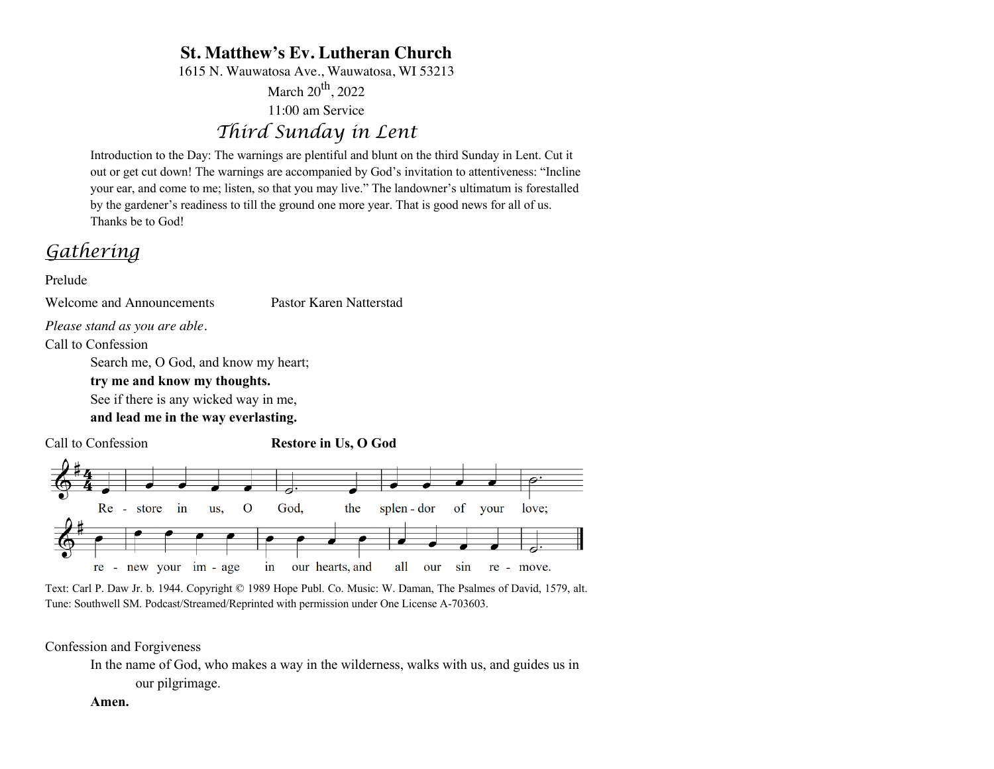# **St. Matthew's Ev. Lutheran Church**

1615 N. Wauwatosa Ave., Wauwatosa, WI 53213

March  $20^{th}$ , 2022

11:00 am Service

# *Third Sunday in Lent*

Introduction to the Day: The warnings are plentiful and blunt on the third Sunday in Lent. Cut it out or get cut down! The warnings are accompanied by God's invitation to attentiveness: "Incline your ear, and come to me; listen, so that you may live." The landowner's ultimatum is forestalled by the gardener's readiness to till the ground one more year. That is good news for all of us. Thanks be to God!

# *Gathering*

Prelude

Welcome and Announcements Pastor Karen Natterstad

*Please stand as you are able.*

Call to Confession

Search me, O God, and know my heart;

### **try me and know my thoughts.**

See if there is any wicked way in me,

**and lead me in the way everlasting.**

Call to Confession **Restore in Us, O God**



Text: Carl P. Daw Jr. b. 1944. Copyright © 1989 Hope Publ. Co. Music: W. Daman, The Psalmes of David, 1579, alt. Tune: Southwell SM. Podcast/Streamed/Reprinted with permission under One License A-703603.

### Confession and Forgiveness

In the name of God, who makes a way in the wilderness, walks with us, and guides us in our pilgrimage.

### **Amen.**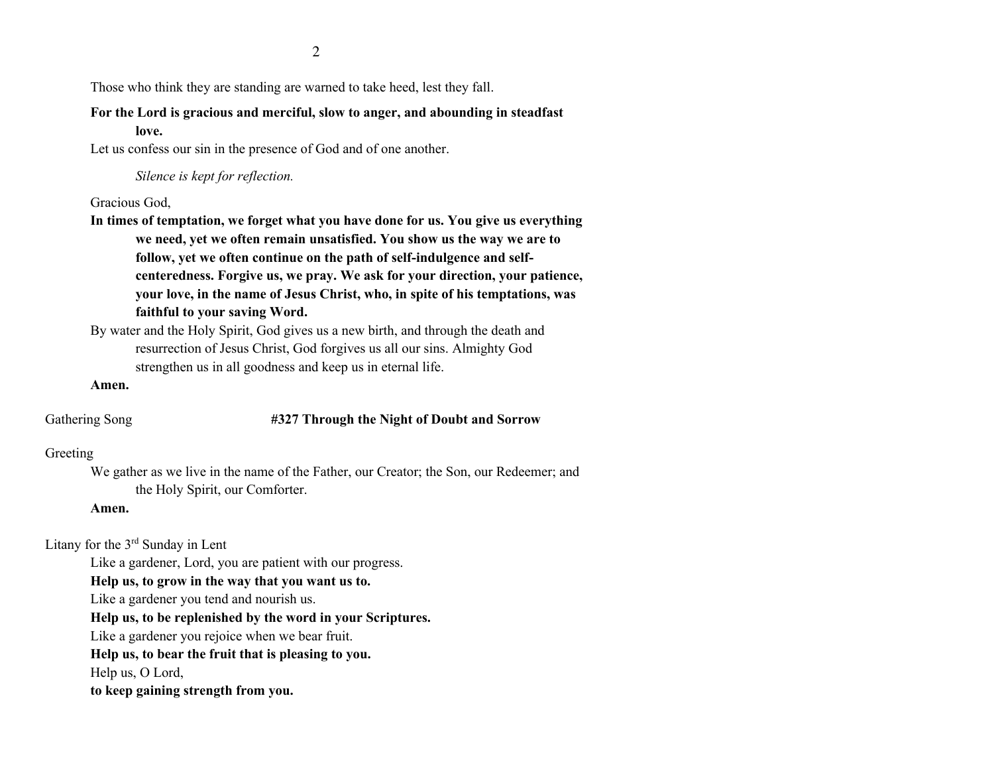Those who think they are standing are warned to take heed, lest they fall.

## **For the Lord is gracious and merciful, slow to anger, and abounding in steadfast love.**

Let us confess our sin in the presence of God and of one another.

*Silence is kept for reflection.*

Gracious God,

**In times of temptation, we forget what you have done for us. You give us everything we need, yet we often remain unsatisfied. You show us the way we are to follow, yet we often continue on the path of self-indulgence and selfcenteredness. Forgive us, we pray. We ask for your direction, your patience, your love, in the name of Jesus Christ, who, in spite of his temptations, was faithful to your saving Word.**

By water and the Holy Spirit, God gives us a new birth, and through the death and resurrection of Jesus Christ, God forgives us all our sins. Almighty God strengthen us in all goodness and keep us in eternal life.

### **Amen.**

### Gathering Song **#327 Through the Night of Doubt and Sorrow**

### Greeting

We gather as we live in the name of the Father, our Creator; the Son, our Redeemer; and the Holy Spirit, our Comforter.

### **Amen.**

Litany for the 3rd Sunday in Lent

Like a gardener, Lord, you are patient with our progress.

**Help us, to grow in the way that you want us to.**

Like a gardener you tend and nourish us.

**Help us, to be replenished by the word in your Scriptures.**

Like a gardener you rejoice when we bear fruit.

**Help us, to bear the fruit that is pleasing to you.**

Help us, O Lord,

**to keep gaining strength from you.**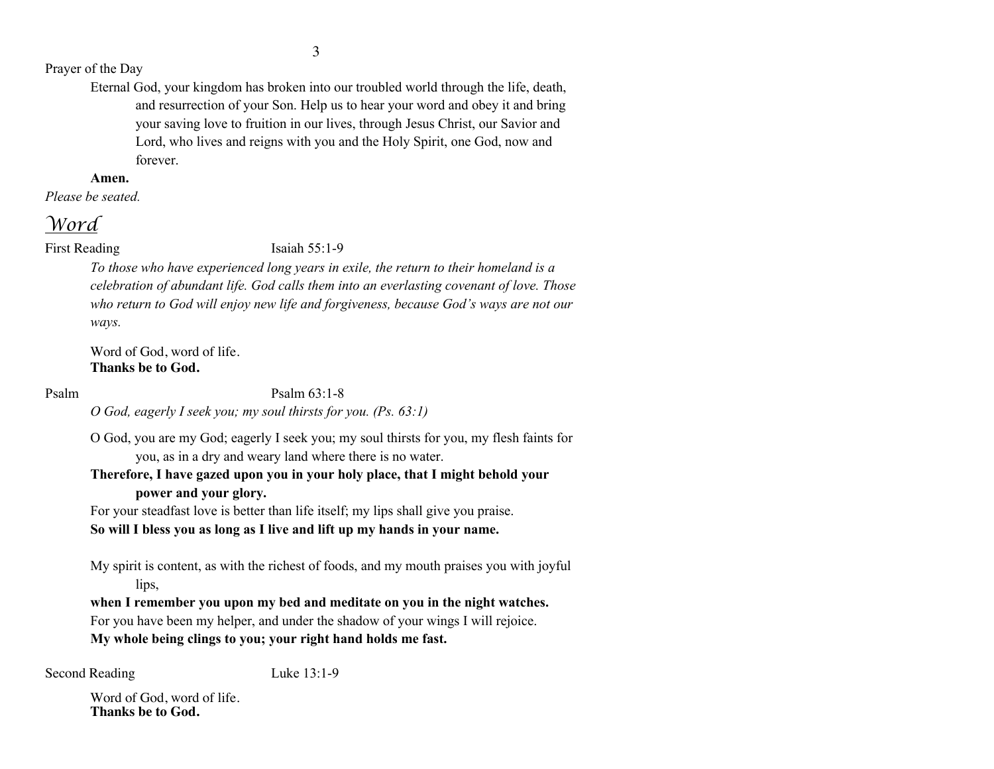### Prayer of the Day

Eternal God, your kingdom has broken into our troubled world through the life, death, and resurrection of your Son. Help us to hear your word and obey it and bring your saving love to fruition in our lives, through Jesus Christ, our Savior and Lord, who lives and reigns with you and the Holy Spirit, one God, now and forever.

### **Amen.**

*Please be seated.*

# *Word*

### First Reading Isaiah 55:1-9

*To those who have experienced long years in exile, the return to their homeland is a celebration of abundant life. God calls them into an everlasting covenant of love. Those who return to God will enjoy new life and forgiveness, because God's ways are not our ways.*

Word of God, word of life. **Thanks be to God.**

Psalm Psalm 63:1-8

*O God, eagerly I seek you; my soul thirsts for you. (Ps. 63:1)*

O God, you are my God; eagerly I seek you; my soul thirsts for you, my flesh faints for you, as in a dry and weary land where there is no water.

### **Therefore, I have gazed upon you in your holy place, that I might behold your power and your glory.**

For your steadfast love is better than life itself; my lips shall give you praise.

### **So will I bless you as long as I live and lift up my hands in your name.**

My spirit is content, as with the richest of foods, and my mouth praises you with joyful lips.

**when I remember you upon my bed and meditate on you in the night watches.**  For you have been my helper, and under the shadow of your wings I will rejoice. **My whole being clings to you; your right hand holds me fast.**

Second Reading Luke 13:1-9

Word of God, word of life. **Thanks be to God.**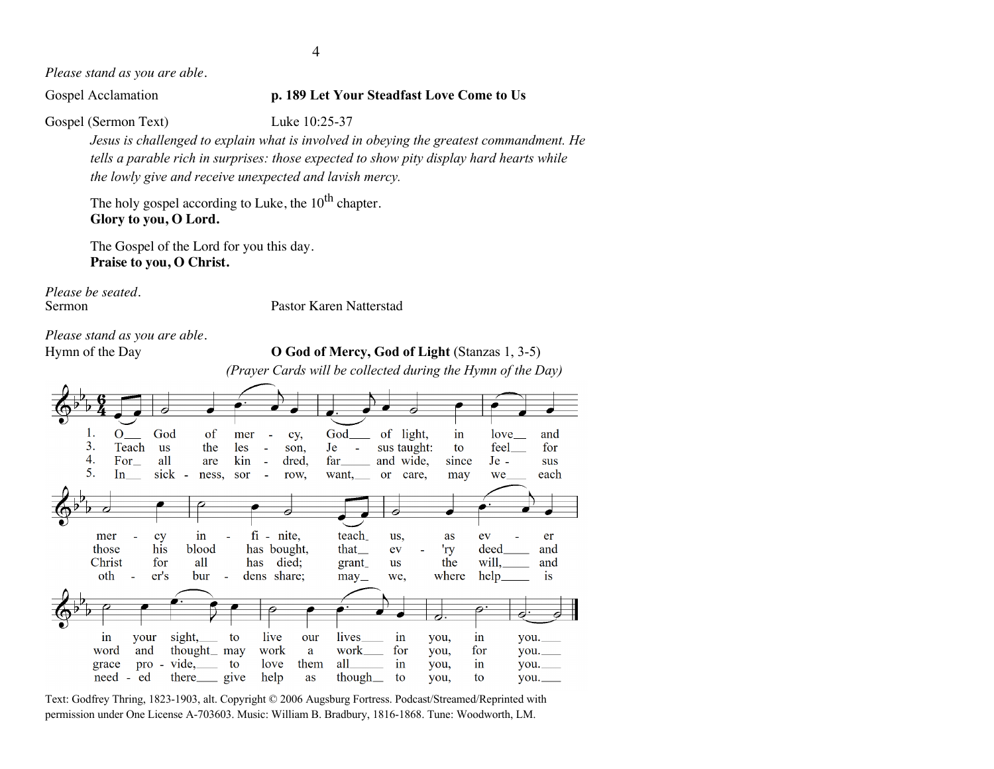4

*Please stand as you are able.*

Gospel Acclamation **p. 189 Let Your Steadfast Love Come to Us**

Gospel (Sermon Text) Luke 10:25-37

*Jesus is challenged to explain what is involved in obeying the greatest commandment. He tells a parable rich in surprises: those expected to show pity display hard hearts while the lowly give and receive unexpected and lavish mercy.*

The holy gospel according to Luke, the  $10^{th}$  chapter. **Glory to you, O Lord.**

The Gospel of the Lord for you this day. **Praise to you, O Christ.**

*Please be seated.*

Sermon Pastor Karen Natterstad

*Please stand as you are able.*

Hymn of the Day **O God of Mercy, God of Light** (Stanzas 1, 3-5)

*(Prayer Cards will be collected during the Hymn of the Day)*

| 1.    | O                            | God       | of                   | mer            |              |       | God_                                  |           | of light,   | $\operatorname{in}$ | love   | and       |
|-------|------------------------------|-----------|----------------------|----------------|--------------|-------|---------------------------------------|-----------|-------------|---------------------|--------|-----------|
|       |                              |           |                      |                |              | cy,   |                                       |           |             |                     |        |           |
| 3.    | Teach                        | <b>us</b> | the                  | les            |              | son,  | Je<br>L,                              |           | sus taught: | to                  | feel   | for       |
| 4.    | For                          | all       | are                  | kin            |              | dred, | far                                   |           | and wide,   | since               | $Je -$ | sus       |
| 5.    | $\ln$                        | sick      | ness,<br>$\sim$      | sor            |              | row,  | $want$ <sub>. <math>\_\_</math></sub> |           | or care,    | may                 | we_    | each      |
|       |                              |           |                      |                |              |       |                                       |           |             |                     |        |           |
|       |                              |           |                      |                |              |       |                                       |           |             |                     |        |           |
|       |                              |           |                      |                |              |       |                                       |           |             |                     |        |           |
|       |                              |           |                      |                |              |       |                                       |           |             |                     |        |           |
|       |                              |           |                      |                |              |       |                                       |           |             |                     |        |           |
| mer   |                              | cy        | in                   |                | $fi$ - nite, |       | teach                                 | us,       |             | as                  | ev     | er        |
|       |                              |           |                      |                |              |       |                                       |           |             |                     |        |           |
| those |                              | his       | blood                |                | has bought,  |       | that                                  | ev        |             | 'ry                 | deed   | and       |
|       | Christ                       | for       | all                  |                | has died;    |       | grant_                                | <b>us</b> |             | the                 | will,  | and       |
|       | oth<br>$\sim$                | er's      | bur                  | $\blacksquare$ | dens share;  |       | may                                   | we,       |             | where               | help_  | <i>is</i> |
|       |                              |           |                      |                |              |       |                                       |           |             |                     |        |           |
|       |                              |           |                      |                |              |       |                                       |           |             |                     |        |           |
|       |                              |           |                      |                |              |       |                                       |           |             |                     |        |           |
|       |                              |           |                      |                |              |       |                                       |           |             | ♂                   |        |           |
|       |                              |           |                      |                |              |       |                                       |           |             |                     |        |           |
| 1n    | your                         |           | $sight$ <sub>-</sub> | to             | live         | our   | lives                                 | in        |             | you,                | 1n     | $you$ .   |
|       | and                          |           | thought $\_\$ may    |                |              |       | work                                  |           | for         |                     |        |           |
| word  |                              |           |                      |                | work         | a     |                                       |           |             | you,                | for    | you.      |
| grace | pro                          | $\sim$    | $vide, \_\_$         | to             | love         | them  | all                                   | in        |             | you,                | in     | you.      |
|       | need<br>ed<br>$\blacksquare$ |           | there give           |                | help         | as    | though $\_\_$                         | to        |             | you,                | to     | $you$ .   |
|       |                              |           |                      |                |              |       |                                       |           |             |                     |        |           |

Text: Godfrey Thring, 1823-1903, alt. Copyright © 2006 Augsburg Fortress. Podcast/Streamed/Reprinted with permission under One License A-703603. Music: William B. Bradbury, 1816-1868. Tune: Woodworth, LM.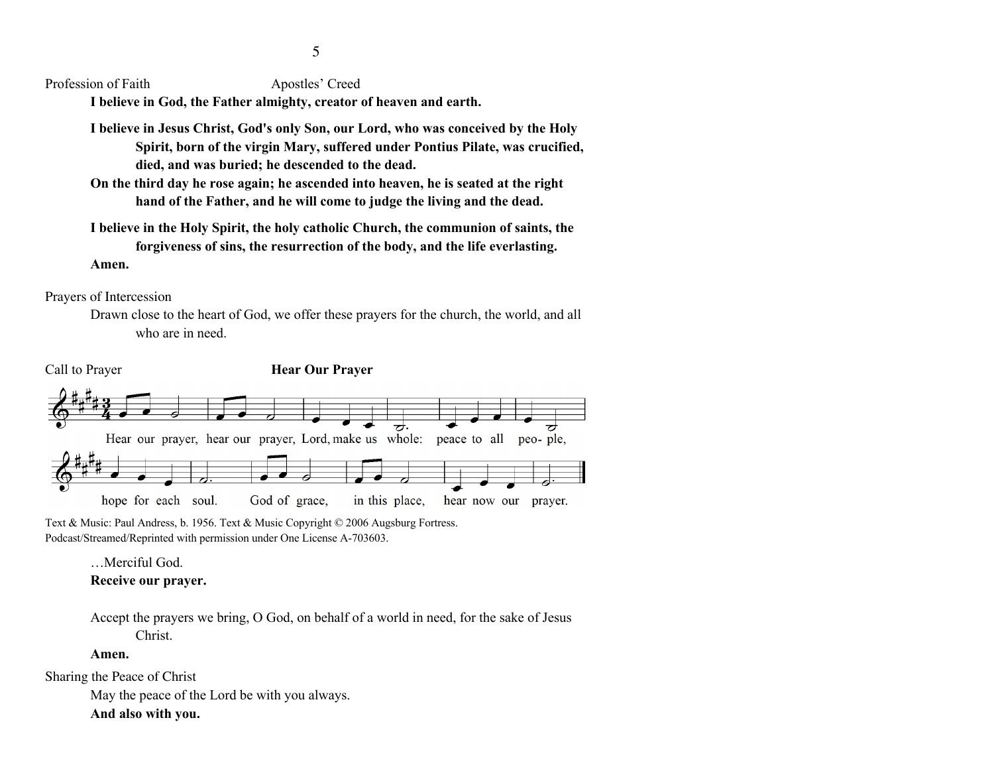Profession of Faith Apostles' Creed

**I believe in God, the Father almighty, creator of heaven and earth.** 

**I believe in Jesus Christ, God's only Son, our Lord, who was conceived by the Holy Spirit, born of the virgin Mary, suffered under Pontius Pilate, was crucified, died, and was buried; he descended to the dead.** 

**On the third day he rose again; he ascended into heaven, he is seated at the right hand of the Father, and he will come to judge the living and the dead.** 

**I believe in the Holy Spirit, the holy catholic Church, the communion of saints, the forgiveness of sins, the resurrection of the body, and the life everlasting.** 

**Amen.**

Prayers of Intercession

Drawn close to the heart of God, we offer these prayers for the church, the world, and all who are in need.



Text & Music: Paul Andress, b. 1956. Text & Music Copyright © 2006 Augsburg Fortress. Podcast/Streamed/Reprinted with permission under One License A-703603.

> …Merciful God. **Receive our prayer.**

Accept the prayers we bring, O God, on behalf of a world in need, for the sake of Jesus Christ.

### **Amen.**

Sharing the Peace of Christ

May the peace of the Lord be with you always.

### **And also with you.**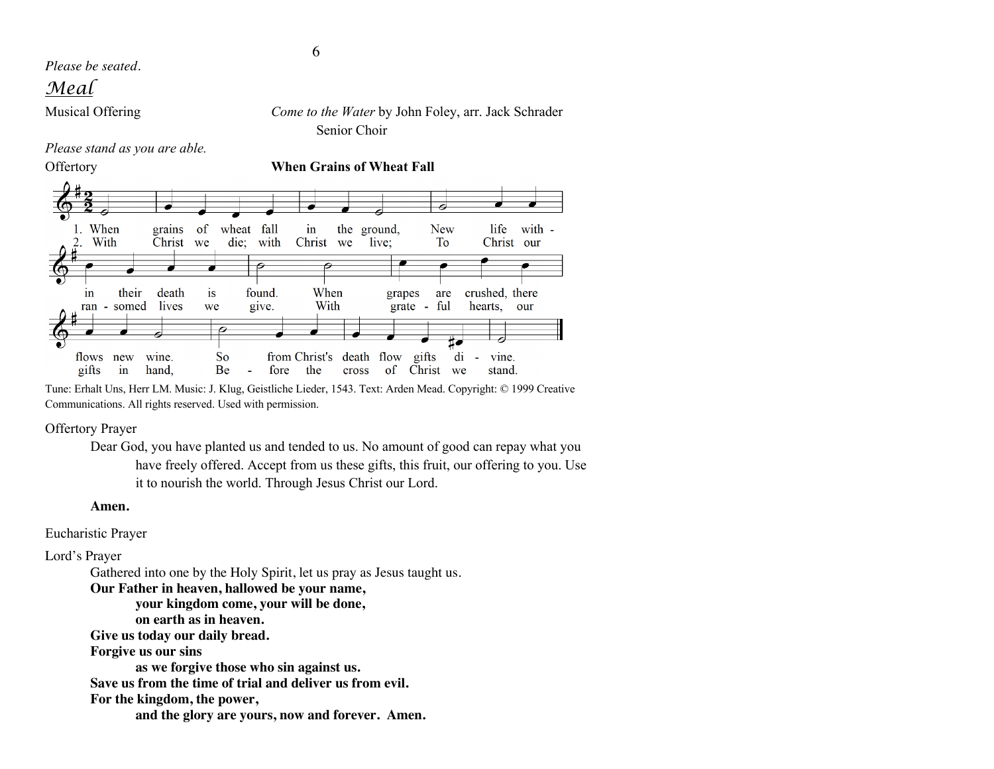*Please be seated.*

## *Meal*

Musical Offering *Come to the Water* by John Foley, arr. Jack Schrader

*Please stand as you are able.*



Tune: Erhalt Uns, Herr LM. Music: J. Klug, Geistliche Lieder, 1543. Text: Arden Mead. Copyright: © 1999 Creative Communications. All rights reserved. Used with permission.

the

 $fore$ 

O

 $S_{\Omega}$ 

**Be** 

Offertory Prayer

gifts

flows new

 $in$ 

wine

hand.

Dear God, you have planted us and tended to us. No amount of good can repay what you have freely offered. Accept from us these gifts, this fruit, our offering to you. Use it to nourish the world. Through Jesus Christ our Lord.

from Christ's death flow gifts

cross

t.

of Christ we

di

ä,

vine

stand.

### **Amen.**

Eucharistic Prayer

Lord's Prayer

Gathered into one by the Holy Spirit, let us pray as Jesus taught us. **Our Father in heaven, hallowed be your name, your kingdom come, your will be done, on earth as in heaven. Give us today our daily bread. Forgive us our sins as we forgive those who sin against us. Save us from the time of trial and deliver us from evil. For the kingdom, the power, and the glory are yours, now and forever. Amen.**

Senior Choir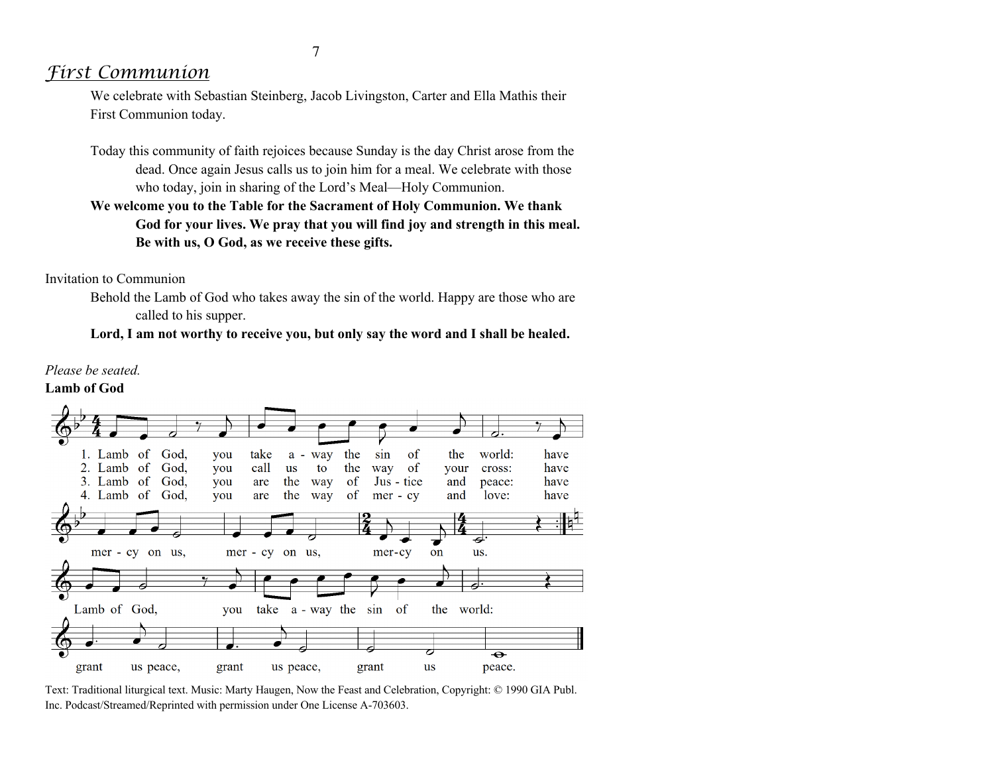## *First Communion*

We celebrate with Sebastian Steinberg, Jacob Livingston, Carter and Ella Mathis their First Communion today.

Today this community of faith rejoices because Sunday is the day Christ arose from the dead. Once again Jesus calls us to join him for a meal. We celebrate with those who today, join in sharing of the Lord's Meal—Holy Communion.

## **We welcome you to the Table for the Sacrament of Holy Communion. We thank God for your lives. We pray that you will find joy and strength in this meal. Be with us, O God, as we receive these gifts.**

### Invitation to Communion

Behold the Lamb of God who takes away the sin of the world. Happy are those who are called to his supper.

### **Lord, I am not worthy to receive you, but only say the word and I shall be healed.**



Text: Traditional liturgical text. Music: Marty Haugen, Now the Feast and Celebration, Copyright: © 1990 GIA Publ. Inc. Podcast/Streamed/Reprinted with permission under One License A-703603.

### *Please be seated.* **Lamb of God**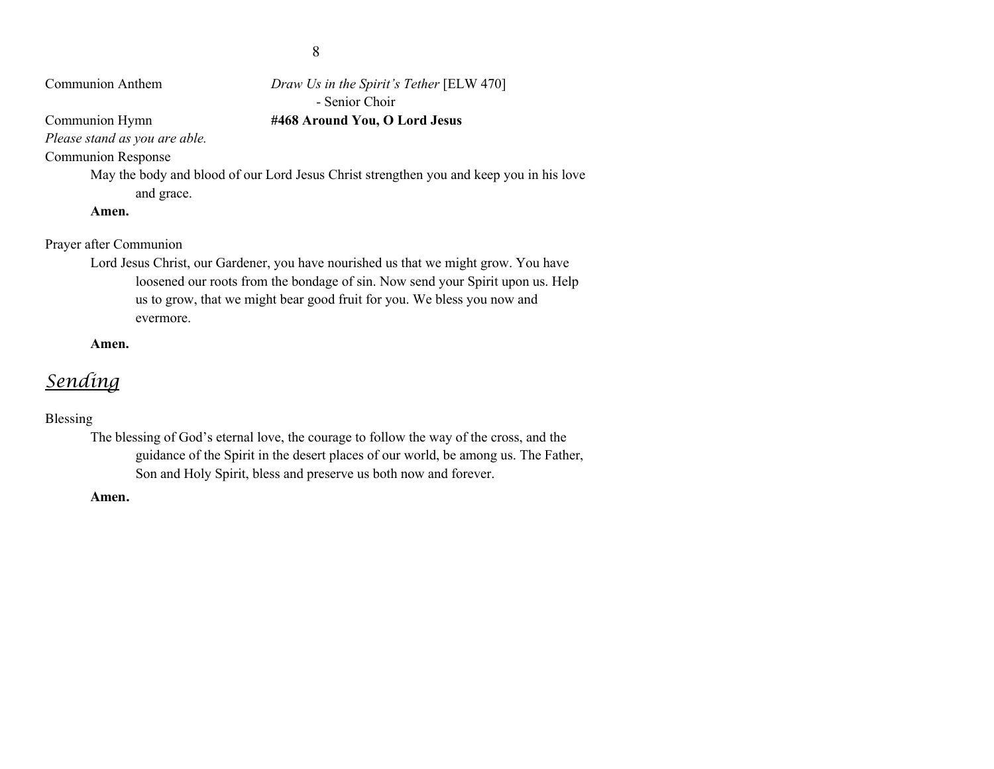Communion Anthem *Draw Us in the Spirit's Tether* [ELW 470] - Senior Choir Communion Hymn **#468 Around You, O Lord Jesus**

*Please stand as you are able.*

Communion Response

May the body and blood of our Lord Jesus Christ strengthen you and keep you in his love and grace.

**Amen.**

Prayer after Communion

Lord Jesus Christ, our Gardener, you have nourished us that we might grow. You have loosened our roots from the bondage of sin. Now send your Spirit upon us. Help us to grow, that we might bear good fruit for you. We bless you now and evermore.

**Amen.**

# *Sending*

### Blessing

The blessing of God's eternal love, the courage to follow the way of the cross, and the guidance of the Spirit in the desert places of our world, be among us. The Father, Son and Holy Spirit, bless and preserve us both now and forever.

**Amen.**